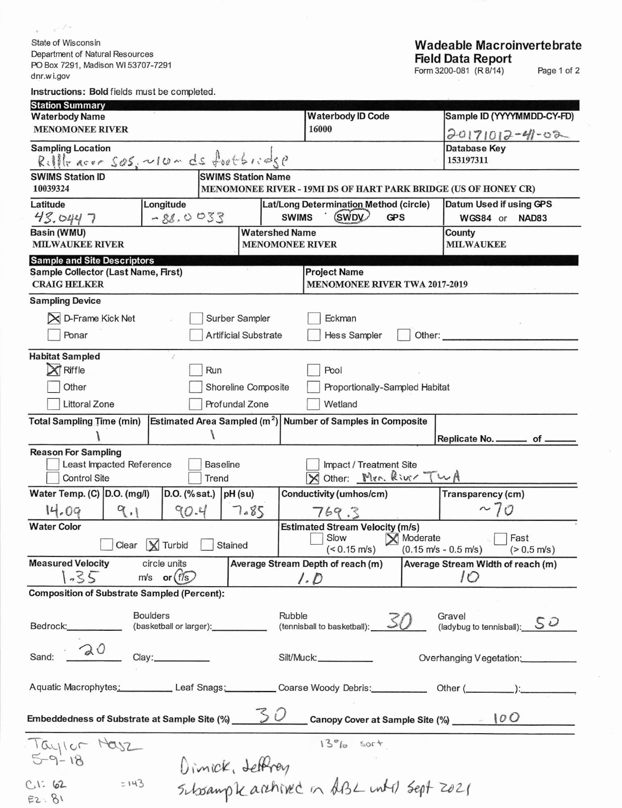State of Wisconsin Department of Natural Resources PO Box 7291, Madison WI 53707-7291<br>dnr.wi.gov

 $\varphi = \varphi^{-1/2}$  .

| <b>Instructions: Bold fields must be completed</b> |  |  |  |  |  |  |  |
|----------------------------------------------------|--|--|--|--|--|--|--|
|----------------------------------------------------|--|--|--|--|--|--|--|

| <b>Station Summary</b><br><b>Waterbody Name</b>                                         |                                                 | <b>Waterbody ID Code</b>                                                       | Sample ID (YYYYMMDD-CY-FD)                              |  |  |  |  |
|-----------------------------------------------------------------------------------------|-------------------------------------------------|--------------------------------------------------------------------------------|---------------------------------------------------------|--|--|--|--|
| <b>MENOMONEE RIVER</b>                                                                  |                                                 | 16000                                                                          | $20171012 - 41 - 02$                                    |  |  |  |  |
| <b>Sampling Location</b><br>$Rillle acc = Søs, \sim 10 - ds for t \in I:$               |                                                 |                                                                                | Database Key<br>153197311                               |  |  |  |  |
| <b>SWIMS Station ID</b>                                                                 | <b>SWIMS Station Name</b>                       |                                                                                |                                                         |  |  |  |  |
| 10039324                                                                                |                                                 | MENOMONEE RIVER - 19MI DS OF HART PARK BRIDGE (US OF HONEY CR)                 |                                                         |  |  |  |  |
| Latitude<br>Longitude<br>43.0447                                                        | $-88.0033$                                      | Lat/Long Determination Method (circle)<br>(SWDV)<br><b>SWIMS</b><br><b>GPS</b> | Datum Used if using GPS<br>WGS84 or<br>NAD83            |  |  |  |  |
| Basin (WMU)<br><b>MILWAUKEE RIVER</b>                                                   | <b>Watershed Name</b><br><b>MENOMONEE RIVER</b> |                                                                                | County<br><b>MILWAUKEE</b>                              |  |  |  |  |
| <b>Sample and Site Descriptors</b>                                                      |                                                 |                                                                                |                                                         |  |  |  |  |
| Sample Collector (Last Name, First)<br><b>CRAIG HELKER</b>                              |                                                 | <b>Project Name</b><br><b>MENOMONEE RIVER TWA 2017-2019</b>                    |                                                         |  |  |  |  |
| <b>Sampling Device</b>                                                                  |                                                 |                                                                                |                                                         |  |  |  |  |
| D-Frame Kick Net<br>⊠                                                                   | Surber Sampler                                  | Eckman                                                                         |                                                         |  |  |  |  |
| Ponar                                                                                   | <b>Artificial Substrate</b>                     | Hess Sampler<br>Other:                                                         |                                                         |  |  |  |  |
| <b>Habitat Sampled</b><br>$\mathfrak{g}^{\mathfrak{t}^{\mathfrak{a}}}$                  |                                                 |                                                                                |                                                         |  |  |  |  |
| Riffle                                                                                  | Run                                             | Pool                                                                           |                                                         |  |  |  |  |
| Other                                                                                   | Shoreline Composite                             |                                                                                | Proportionally-Sampled Habitat                          |  |  |  |  |
| <b>Littoral Zone</b>                                                                    | Profundal Zone                                  | Wetland                                                                        |                                                         |  |  |  |  |
| <b>Total Sampling Time (min)</b>                                                        |                                                 | Estimated Area Sampled $(m^2)$ Number of Samples in Composite                  |                                                         |  |  |  |  |
|                                                                                         |                                                 |                                                                                | Replicate No. ________ of _                             |  |  |  |  |
| <b>Reason For Sampling</b><br>Least Impacted Reference                                  | <b>Baseline</b>                                 | Impact / Treatment Site                                                        |                                                         |  |  |  |  |
| <b>Control Site</b>                                                                     | Trend                                           | Other: Men. River TwA                                                          |                                                         |  |  |  |  |
| Water Temp. (C) D.O. (mg/l)                                                             | D.O. (% sat.) $ pH$ (su)                        | Conductivity (umhos/cm)                                                        | Transparency (cm)                                       |  |  |  |  |
| 14.09<br>9.1                                                                            | 90.4<br>7.85                                    | 769.3                                                                          | ~10                                                     |  |  |  |  |
| <b>Water Color</b>                                                                      |                                                 | <b>Estimated Stream Velocity (m/s)</b><br>Slow                                 | Fast                                                    |  |  |  |  |
| Clear $\sqrt{\phantom{a}}$ Turbid                                                       | Stained                                         | X Moderate<br>$(< 0.15$ m/s)                                                   | $(0.15 \text{ m/s} - 0.5 \text{ m/s})$<br>$(> 0.5$ m/s) |  |  |  |  |
| <b>Measured Velocity</b><br>circle units                                                |                                                 | Average Stream Depth of reach (m)                                              | Average Stream Width of reach (m)                       |  |  |  |  |
| 1.35<br>$m/s$ or $(f/s)$                                                                |                                                 | 1.0                                                                            | 10                                                      |  |  |  |  |
| <b>Composition of Substrate Sampled (Percent):</b>                                      |                                                 |                                                                                |                                                         |  |  |  |  |
| <b>Boulders</b><br>Bedrock:___________                                                  | (basketball or larger):                         | Rubble                                                                         | Gravel<br>(ladybug to tennisball): $50$                 |  |  |  |  |
| 20<br>Clay:<br>Sand:                                                                    |                                                 | Silt/Muck:                                                                     | Overhanging Vegetation:                                 |  |  |  |  |
| Aquatic Macrophytes: Leaf Snags: Coarse Woody Debris: Charge Other (Community Content): |                                                 |                                                                                |                                                         |  |  |  |  |
|                                                                                         |                                                 |                                                                                |                                                         |  |  |  |  |
|                                                                                         |                                                 | $13°10$ sort                                                                   |                                                         |  |  |  |  |
| Taylor Masz                                                                             |                                                 | Dimick, deffrey<br>Schsampk archived in ABL until sept 2021                    |                                                         |  |  |  |  |
| $= 143$<br>C1:62<br>E2.81                                                               |                                                 |                                                                                |                                                         |  |  |  |  |